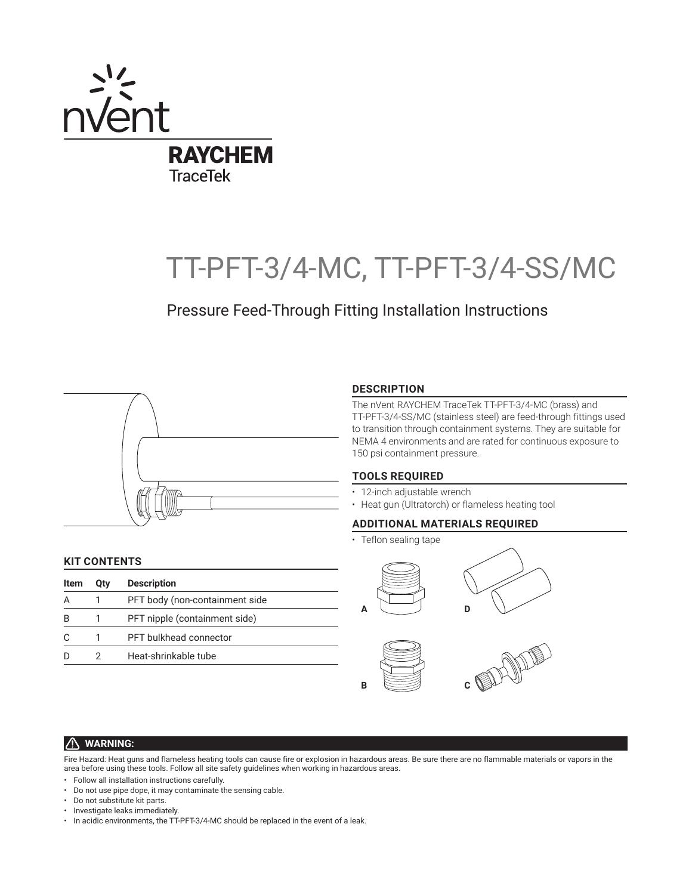

# TT-PFT-3/4-MC, TT-PFT-3/4-SS/MC

## Pressure Feed-Through Fitting Installation Instructions



## **DESCRIPTION**

The nVent RAYCHEM TraceTek TT-PFT-3/4-MC (brass) and TT-PFT-3/4-SS/MC (stainless steel) are feed-through fittings used to transition through containment systems. They are suitable for NEMA 4 environments and are rated for continuous exposure to 150 psi containment pressure.

## **TOOLS REQUIRED**

- 12-inch adjustable wrench
- Heat gun (Ultratorch) or flameless heating tool

## **ADDITIONAL MATERIALS REQUIRED**

• Teflon sealing tape

## **KIT CONTENTS**

| Item | Otv | <b>Description</b>             |
|------|-----|--------------------------------|
| А    |     | PFT body (non-containment side |
| B    |     | PFT nipple (containment side)  |
|      |     | PFT bulkhead connector         |
|      |     | Heat-shrinkable tube           |



#### $\bigwedge$ **WARNING:**

Fire Hazard: Heat guns and flameless heating tools can cause fire or explosion in hazardous areas. Be sure there are no flammable materials or vapors in the area before using these tools. Follow all site safety guidelines when working in hazardous areas.

- Follow all installation instructions carefully.
- Do not use pipe dope, it may contaminate the sensing cable.
- Do not substitute kit parts.
- Investigate leaks immediately.
- In acidic environments, the TT-PFT-3/4-MC should be replaced in the event of a leak.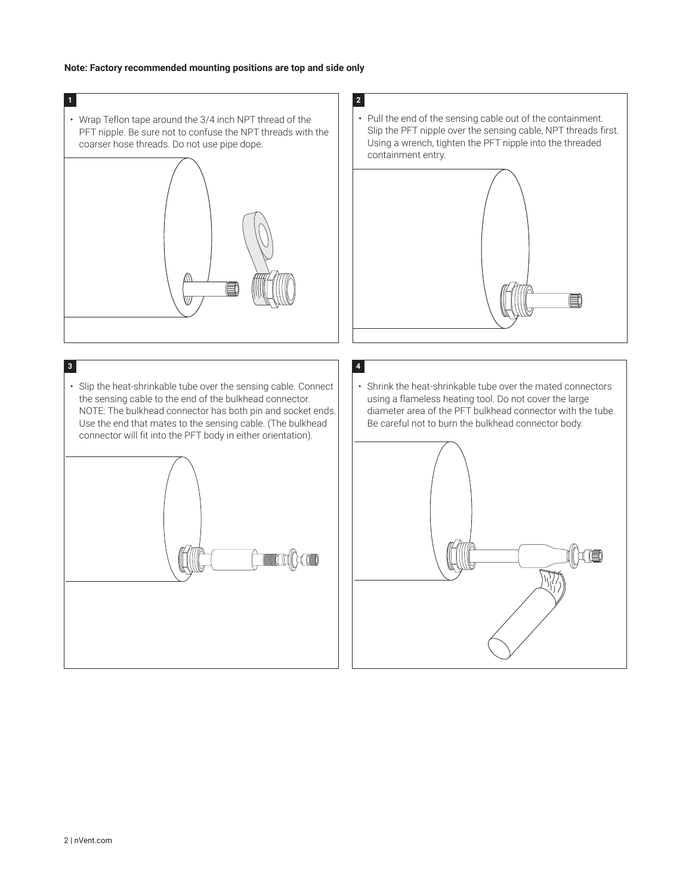## **Note: Factory recommended mounting positions are top and side only**

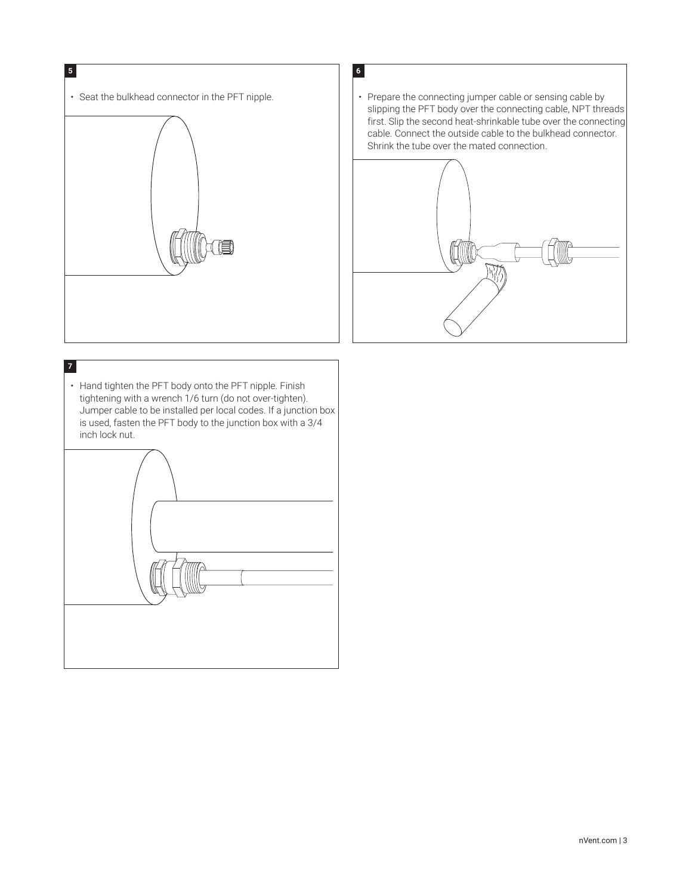

• Seat the bulkhead connector in the PFT nipple.  $\|\cdot\|$  Prepare the connecting jumper cable or sensing cable by slipping the PFT body over the connecting cable, NPT threads first. Slip the second heat-shrinkable tube over the connecting cable. Connect the outside cable to the bulkhead connector. Shrink the tube over the mated connection.



• Hand tighten the PFT body onto the PFT nipple. Finish tightening with a wrench 1/6 turn (do not over-tighten). Jumper cable to be installed per local codes. If a junction box is used, fasten the PFT body to the junction box with a 3/4 inch lock nut. **7**